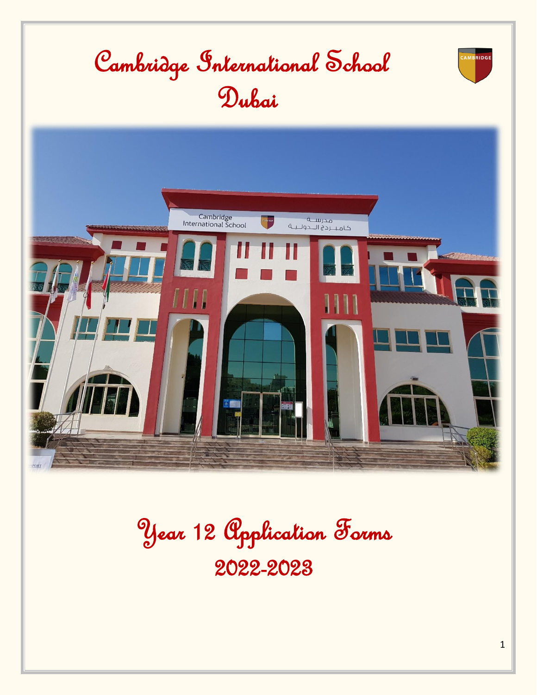

Year 12 Application Forms 2022-2023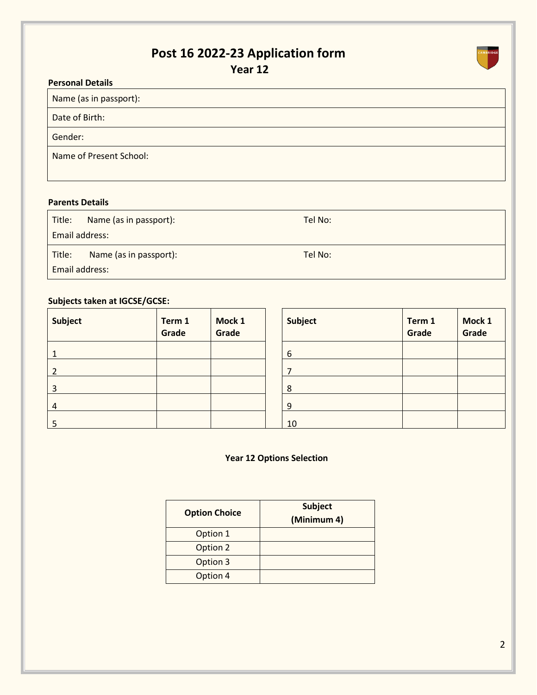# **Post 16 2022-23 Application form**

**Year 12**

| <b>Personal Details</b> |
|-------------------------|
| Name (as in passport):  |
| Date of Birth:          |
| Gender:                 |
| Name of Present School: |
|                         |

#### **Parents Details**

| Title:         | Name (as in passport): | Tel No: |  |  |  |
|----------------|------------------------|---------|--|--|--|
| Email address: |                        |         |  |  |  |
| Title:         | Name (as in passport): | Tel No: |  |  |  |
| Email address: |                        |         |  |  |  |

# **Subjects taken at IGCSE/GCSE:**

| <b>Subject</b> | Term 1<br>Grade | Mock 1<br>Grade | Subject | Term 1<br>Grade | Mock 1<br>Grade |
|----------------|-----------------|-----------------|---------|-----------------|-----------------|
|                |                 |                 | 6       |                 |                 |
|                |                 |                 |         |                 |                 |
| 3              |                 |                 | 8       |                 |                 |
| 4              |                 |                 | 9       |                 |                 |
| b              |                 |                 | 10      |                 |                 |

# **Year 12 Options Selection**

| <b>Option Choice</b> | <b>Subject</b><br>(Minimum 4) |
|----------------------|-------------------------------|
| Option 1             |                               |
| Option 2             |                               |
| Option 3             |                               |
| Option 4             |                               |
|                      |                               |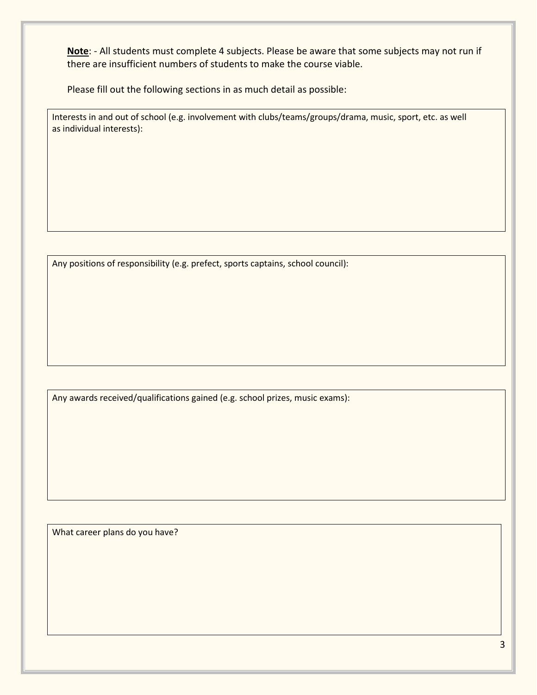**Note**: - All students must complete 4 subjects. Please be aware that some subjects may not run if there are insufficient numbers of students to make the course viable.

Please fill out the following sections in as much detail as possible:

Interests in and out of school (e.g. involvement with clubs/teams/groups/drama, music, sport, etc. as well as individual interests):

Any positions of responsibility (e.g. prefect, sports captains, school council):

Any awards received/qualifications gained (e.g. school prizes, music exams):

What career plans do you have?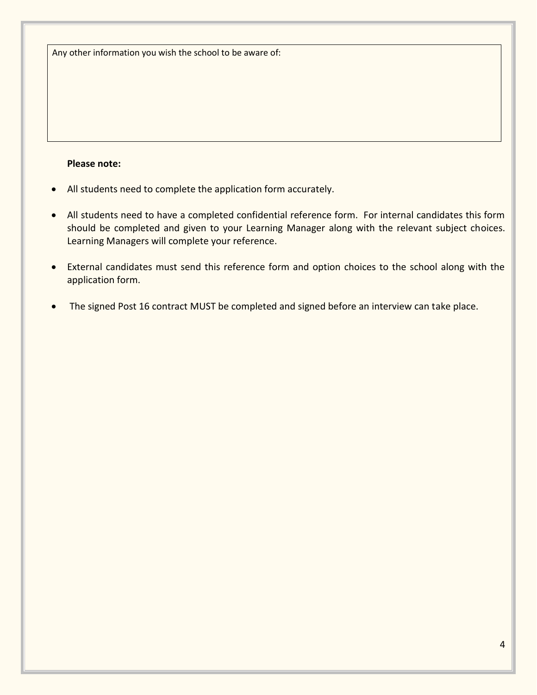Any other information you wish the school to be aware of:

#### **Please note:**

- All students need to complete the application form accurately.
- All students need to have a completed confidential reference form. For internal candidates this form should be completed and given to your Learning Manager along with the relevant subject choices. Learning Managers will complete your reference.
- External candidates must send this reference form and option choices to the school along with the application form.
- The signed Post 16 contract MUST be completed and signed before an interview can take place.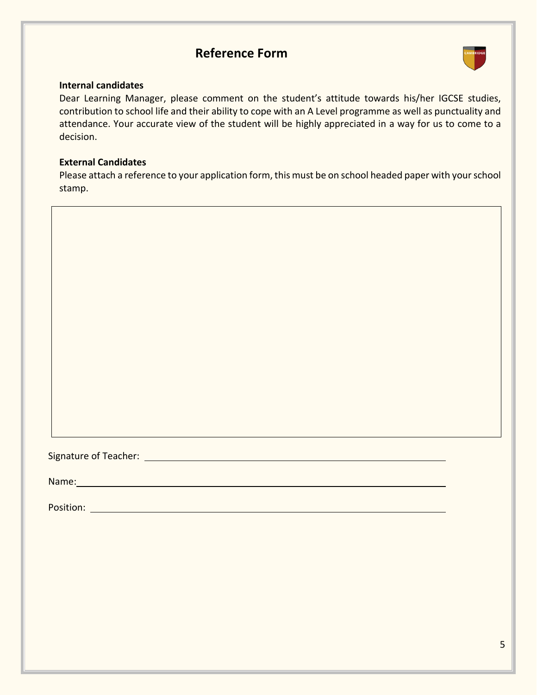# **Reference Form**



#### **Internal candidates**

Dear Learning Manager, please comment on the student's attitude towards his/her IGCSE studies, contribution to school life and their ability to cope with an A Level programme as well as punctuality and attendance. Your accurate view of the student will be highly appreciated in a way for us to come to a decision.

# **External Candidates**

Please attach a reference to your application form, this must be on school headed paper with your school stamp.

Signature of Teacher:

Name: Name and the second contract of the second contract of the second contract of the second contract of the

Position: when the contract of the contract of the contract of the contract of the contract of the contract of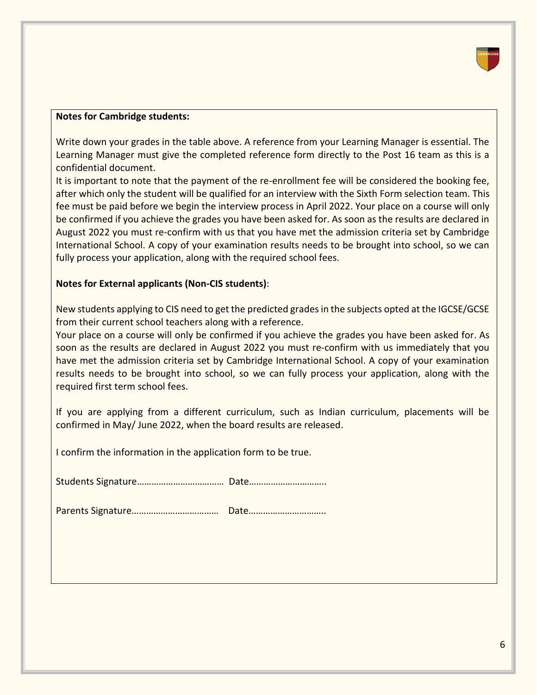

#### **Notes for Cambridge students:**

Write down your grades in the table above. A reference from your Learning Manager is essential. The Learning Manager must give the completed reference form directly to the Post 16 team as this is a confidential document.

It is important to note that the payment of the re-enrollment fee will be considered the booking fee, after which only the student will be qualified for an interview with the Sixth Form selection team. This fee must be paid before we begin the interview process in April 2022. Your place on a course will only be confirmed if you achieve the grades you have been asked for. As soon as the results are declared in August 2022 you must re-confirm with us that you have met the admission criteria set by Cambridge International School. A copy of your examination results needs to be brought into school, so we can fully process your application, along with the required school fees.

#### **Notes for External applicants (Non-CIS students)**:

New students applying to CIS need to get the predicted grades in the subjects opted at the IGCSE/GCSE from their current school teachers along with a reference.

Your place on a course will only be confirmed if you achieve the grades you have been asked for. As soon as the results are declared in August 2022 you must re-confirm with us immediately that you have met the admission criteria set by Cambridge International School. A copy of your examination results needs to be brought into school, so we can fully process your application, along with the required first term school fees.

If you are applying from a different curriculum, such as Indian curriculum, placements will be confirmed in May/ June 2022, when the board results are released.

I confirm the information in the application form to be true.

Students Signature……………………………… Date…………………………..

Parents Signature……………………………… Date…………………………..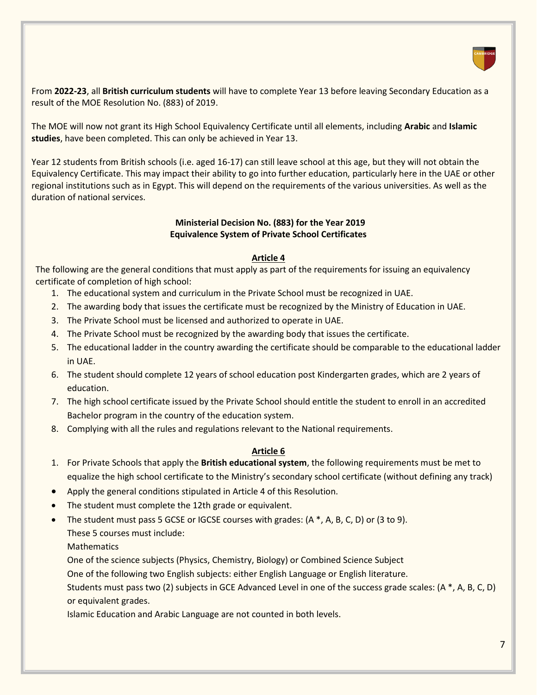

From **2022-23**, all **British curriculum students** will have to complete Year 13 before leaving Secondary Education as a result of the MOE Resolution No. (883) of 2019.

The MOE will now not grant its High School Equivalency Certificate until all elements, including **Arabic** and **Islamic studies**, have been completed. This can only be achieved in Year 13.

Year 12 students from British schools (i.e. aged 16-17) can still leave school at this age, but they will not obtain the Equivalency Certificate. This may impact their ability to go into further education, particularly here in the UAE or other regional institutions such as in Egypt. This will depend on the requirements of the various universities. As well as the duration of national services.

#### **Ministerial Decision No. (883) for the Year 2019 Equivalence System of Private School Certificates**

#### **Article 4**

The following are the general conditions that must apply as part of the requirements for issuing an equivalency certificate of completion of high school:

- 1. The educational system and curriculum in the Private School must be recognized in UAE.
- 2. The awarding body that issues the certificate must be recognized by the Ministry of Education in UAE.
- 3. The Private School must be licensed and authorized to operate in UAE.
- 4. The Private School must be recognized by the awarding body that issues the certificate.
- 5. The educational ladder in the country awarding the certificate should be comparable to the educational ladder in UAE.
- 6. The student should complete 12 years of school education post Kindergarten grades, which are 2 years of education.
- 7. The high school certificate issued by the Private School should entitle the student to enroll in an accredited Bachelor program in the country of the education system.
- 8. Complying with all the rules and regulations relevant to the National requirements.

#### **Article 6**

- 1. For Private Schools that apply the **British educational system**, the following requirements must be met to equalize the high school certificate to the Ministry's secondary school certificate (without defining any track)
- Apply the general conditions stipulated in Article 4 of this Resolution.
- The student must complete the 12th grade or equivalent.
- The student must pass 5 GCSE or IGCSE courses with grades:  $(A*, A, B, C, D)$  or  $(3 to 9)$ .
	- These 5 courses must include:

**Mathematics** 

One of the science subjects (Physics, Chemistry, Biology) or Combined Science Subject

One of the following two English subjects: either English Language or English literature.

Students must pass two (2) subjects in GCE Advanced Level in one of the success grade scales: (A \*, A, B, C, D) or equivalent grades.

Islamic Education and Arabic Language are not counted in both levels.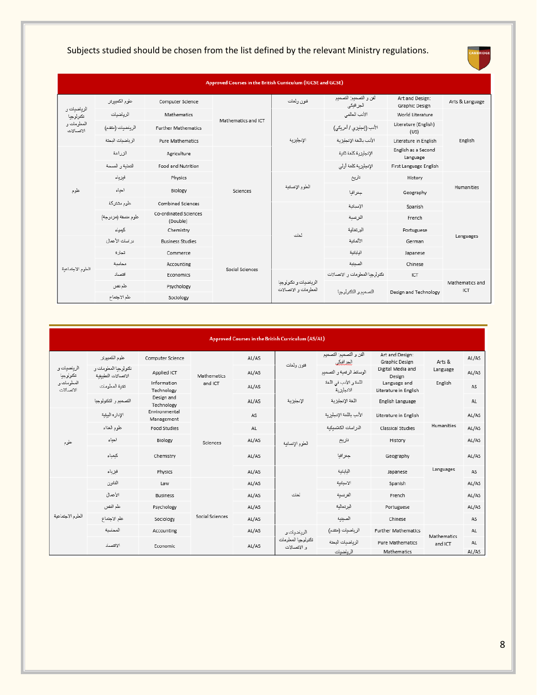# Subjects studied should be chosen from the list defined by the relevant Ministry regulations.



| Approved Courses in the British Curriculum (IGCSE and GCSE) |                    |                                   |                     |                                               |                                      |                                   |                        |  |
|-------------------------------------------------------------|--------------------|-----------------------------------|---------------------|-----------------------------------------------|--------------------------------------|-----------------------------------|------------------------|--|
| الزياضيات و<br>تكتولوجيا<br>المعلومات و<br>الاتصالات        | علوم الكمبيوتر     | Computer Science                  |                     | فتون ولغات                                    | الفن و التصميع: التصميع<br>الجزافيكي | Art and Design:<br>Graphic Design | Arts & Language        |  |
|                                                             | الرياضيات          | Mathematics                       | Mathematics and ICT | الإنجليزية                                    | الأنب العالمى                        | World Literature                  | English                |  |
|                                                             | الرياضيات (منقدم)  | <b>Further Mathematics</b>        |                     |                                               | الأدب (إنجليزي / أمريكي)             | Literature (English)<br>(US)      |                        |  |
|                                                             | الرياضيات البحثة   | <b>Pure Mathematics</b>           |                     |                                               | الأنب باللغة الإنجليزية              | Literature in English             |                        |  |
|                                                             | الزراعة            | Agriculture                       |                     |                                               | الإنجليزية كلغة ثانية                | English as a Second<br>Language   |                        |  |
|                                                             | التغذية والصمعة    | Food and Nutrition                | Sciences            |                                               | الإنجليزية كلغة أولمي                | First Language English            |                        |  |
|                                                             | فبزياء             | Physics                           |                     | الطوم الإنسانية                               | تاريخ                                | History                           | Humanities             |  |
| علوم                                                        | احباء              | Biology                           |                     |                                               | جغرافيا                              | Geography                         |                        |  |
|                                                             | علوم مشتركة        | <b>Combined Sciences</b>          |                     | الغات                                         | الإسبانية                            | Spanish                           |                        |  |
|                                                             | علوم مصقة (مزدوجة) | Co-ordinated Sciences<br>(Double) |                     |                                               | الفرنسية                             | French                            |                        |  |
|                                                             | كبمياء             | Chemistry                         |                     |                                               | البرتغالية                           | Portuguese                        |                        |  |
|                                                             | دراسك الأعمال      | <b>Business Studies</b>           |                     |                                               | الألمانية                            | German                            | Languages              |  |
| العلوم الاجتماعية                                           | تجارة              | Commerce                          |                     |                                               | اليابانية                            | Japanese                          |                        |  |
|                                                             | محاسبة             | Accounting                        | Social Sciences     |                                               | الصبنية                              | Chinese                           |                        |  |
|                                                             | اقتصاد             | Economics                         |                     | الرياضيات و تكتولوجيا<br>المعلومات والإنصالات | تكنولوجنا المعلومات والانصبالات      | ICT                               | Mathematics and<br>ICT |  |
|                                                             | علم نفس            | Psychology                        |                     |                                               | التصميم و التكتولوجيا                | Design and Technology             |                        |  |
|                                                             | علم الاجتماع       | Sociology                         |                     |                                               |                                      |                                   |                        |  |

| Approved Courses in the British Curriculum (AS/AL)   |                                              |                             |                 |       |                                                   |                                      |                                        |                        |              |
|------------------------------------------------------|----------------------------------------------|-----------------------------|-----------------|-------|---------------------------------------------------|--------------------------------------|----------------------------------------|------------------------|--------------|
| الرياضيات و<br>تكثولوجيا<br>المعلومات و<br>الانسالات | علوم الكمبيوتر                               | Computer Science            |                 | AL/AS | فنون ولغات                                        | الفن و التصميع: التصميم<br>العرافكي  | Art and Design:<br>Graphic Design      | Arts &                 | AL/AS        |
|                                                      | تكثولوجيا المعلومات و<br>الانصالات التطبيقية | Applied ICT                 | Mathematics     | AL/AS |                                                   | الوسائط الرقمية و التصميع            | Digital Media and<br>Design            | Language               | AL/AS        |
|                                                      | تقنبة المعلومات                              | Information<br>Technology   | and ICT         | AL/AS | الإنجليزية                                        | اللغة و الأدب في اللغة<br>الانجليزية | Language and<br>Literature in English  | English                | AS           |
|                                                      | التصميم والتكتولوجيا                         | Design and<br>Technology    |                 | AL/AS |                                                   | اللغة الإنطيزية                      | English Language                       |                        | AL           |
|                                                      | الإداره البيئبة                              | Environmental<br>Management | Sciences        | AS    |                                                   | الأدب باللغة الإنطيزية               | Literature in English                  |                        | AL/AS        |
| طوم                                                  | علوم الغذاء                                  | Food Studies                |                 | AL    | الطوم الإنسانية                                   | الدر اسات الكلاسبكية                 | Classical Studies                      | Humanities             | AL/AS        |
|                                                      | احياء                                        | Biology                     |                 | AL/AS |                                                   | تاريخ                                | History                                |                        | AL/AS        |
|                                                      | كيمياء                                       | Chemistry                   |                 | AL/AS |                                                   | جغرافيا                              | Geography                              |                        | AL/AS        |
|                                                      | فيزياء                                       | Physics                     |                 | AL/AS |                                                   | اليابانية                            | Japanese                               | Languages              | AS           |
|                                                      | القانون                                      | Law                         | Social Sciences | AL/AS | ثغات                                              | الاسبانية                            | Spanish                                |                        | AL/AS        |
| العلوم الاجتماعية                                    | الأعمال                                      | <b>Business</b>             |                 | AL/AS |                                                   | الفرنسية                             | French                                 |                        | AL/AS        |
|                                                      | علْم الْنفس                                  | Psychology                  |                 | AL/AS |                                                   | البرندالبة                           | Portuguese                             |                        | AL/AS        |
|                                                      | طم الاجتماع                                  | Sociology                   |                 | AL/AS |                                                   | الصبيبة                              | Chinese                                |                        | AS           |
|                                                      | المحاسنة                                     | Accounting                  |                 | AL/AS | الزباضبات و<br>تكتولوجيا المعلومات<br>و الإنصالات | الرياضيات (منقدم)                    | Further Mathematics                    | Mathematics<br>and ICT | AL           |
|                                                      | الاقتصاد                                     | Economic                    |                 | AL/AS |                                                   | الرياضيات البحتة<br>الأساحية والمتعد | <b>Pure Mathematics</b><br>Mathematics |                        | AL<br>241/14 |

# 8